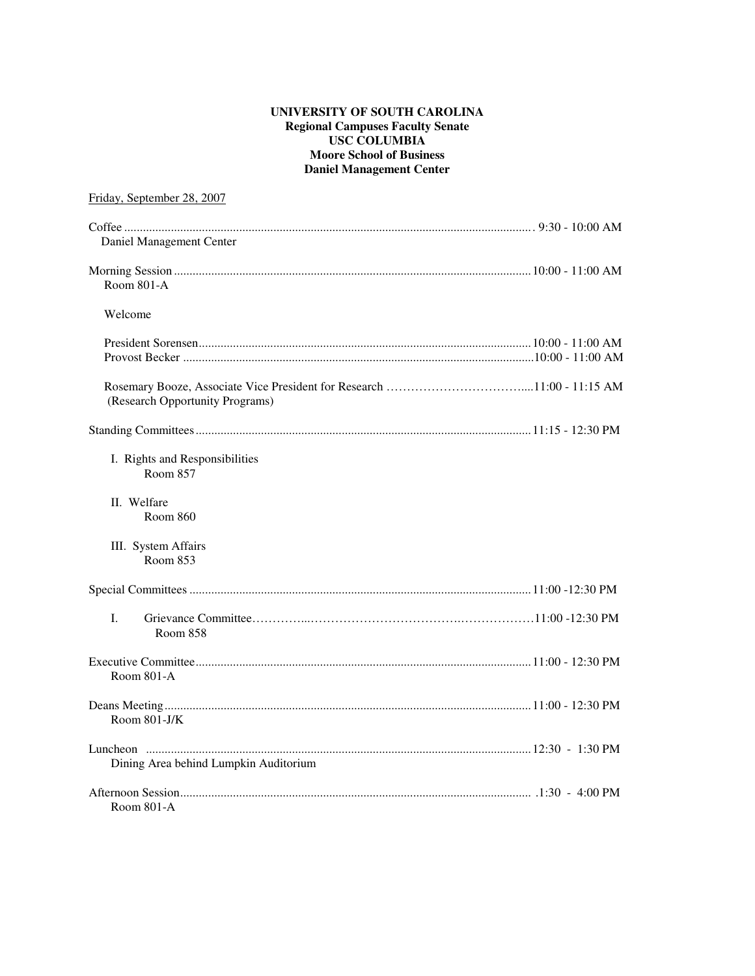#### **UNIVERSITY OF SOUTH CAROLINA Regional Campuses Faculty Senate USC COLUMBIA Moore School of Business Daniel Management Center**

# Friday, September 28, 2007

| Daniel Management Center                          |  |
|---------------------------------------------------|--|
|                                                   |  |
| Room 801-A                                        |  |
| Welcome                                           |  |
|                                                   |  |
| (Research Opportunity Programs)                   |  |
|                                                   |  |
| I. Rights and Responsibilities<br><b>Room 857</b> |  |
| II. Welfare<br>Room 860                           |  |
| III. System Affairs<br>Room 853                   |  |
|                                                   |  |
| I.<br><b>Room 858</b>                             |  |
| Room 801-A                                        |  |
| Room $801-J/K$                                    |  |
| Dining Area behind Lumpkin Auditorium             |  |
| Room 801-A                                        |  |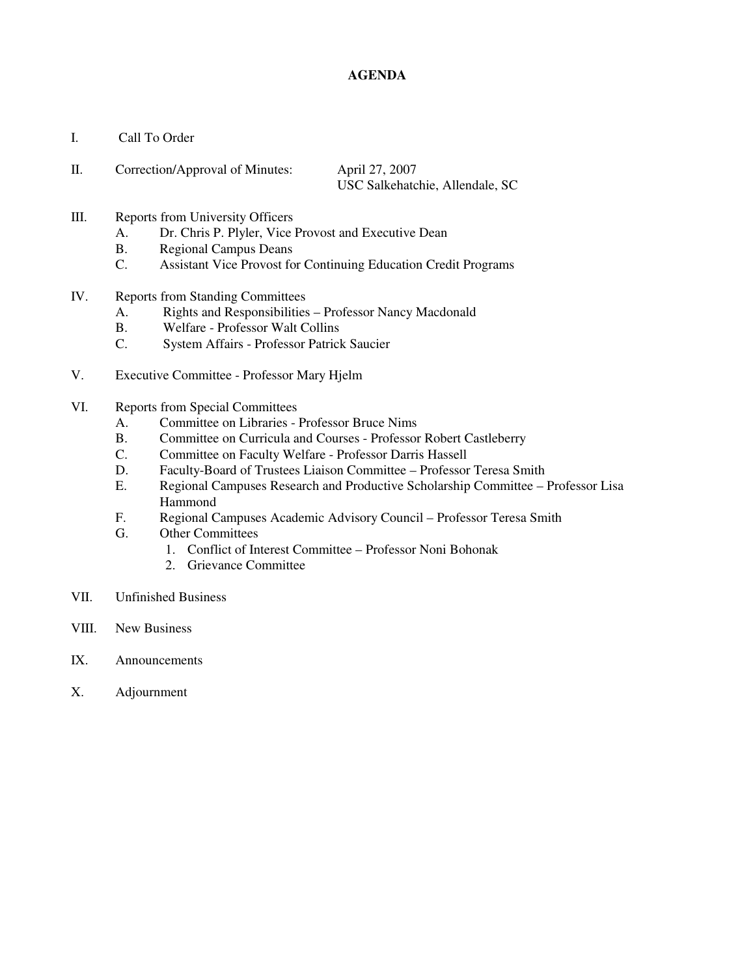### **AGENDA**

I. Call To Order

| Correction/Approval of Minutes: | April 27, 2007                  |  |  |  |
|---------------------------------|---------------------------------|--|--|--|
|                                 | USC Salkehatchie, Allendale, SC |  |  |  |

- III. Reports from University Officers
	- A. Dr. Chris P. Plyler, Vice Provost and Executive Dean
	- B. Regional Campus Deans
	- C. Assistant Vice Provost for Continuing Education Credit Programs
- IV. Reports from Standing Committees
	- A. Rights and Responsibilities Professor Nancy Macdonald
	- B. Welfare Professor Walt Collins
	- C. System Affairs Professor Patrick Saucier
- V. Executive Committee Professor Mary Hjelm
- VI. Reports from Special Committees
	- A. Committee on Libraries Professor Bruce Nims
	- B. Committee on Curricula and Courses Professor Robert Castleberry
	- C. Committee on Faculty Welfare Professor Darris Hassell
	- D. Faculty-Board of Trustees Liaison Committee Professor Teresa Smith
	- E. Regional Campuses Research and Productive Scholarship Committee Professor Lisa Hammond
	- F. Regional Campuses Academic Advisory Council Professor Teresa Smith
	- G. Other Committees
		- 1. Conflict of Interest Committee Professor Noni Bohonak
		- 2. Grievance Committee
- VII. Unfinished Business
- VIII. New Business
- IX. Announcements
- X. Adjournment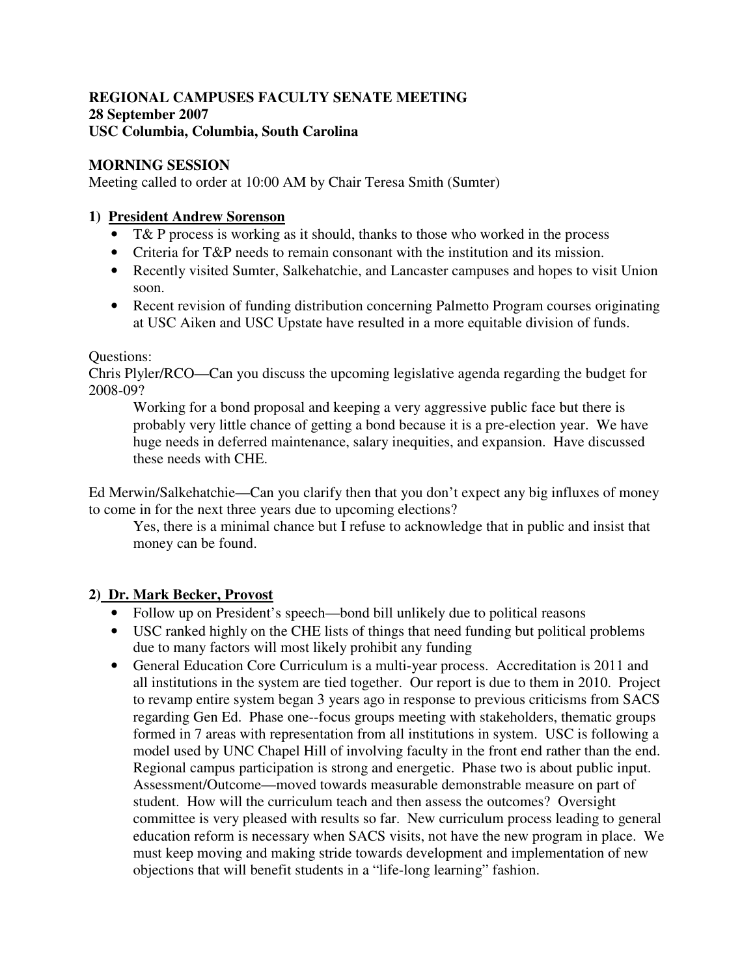# **REGIONAL CAMPUSES FACULTY SENATE MEETING 28 September 2007 USC Columbia, Columbia, South Carolina**

# **MORNING SESSION**

Meeting called to order at 10:00 AM by Chair Teresa Smith (Sumter)

# **1) President Andrew Sorenson**

- T& P process is working as it should, thanks to those who worked in the process
- Criteria for T&P needs to remain consonant with the institution and its mission.
- Recently visited Sumter, Salkehatchie, and Lancaster campuses and hopes to visit Union soon.
- Recent revision of funding distribution concerning Palmetto Program courses originating at USC Aiken and USC Upstate have resulted in a more equitable division of funds.

# Questions:

Chris Plyler/RCO—Can you discuss the upcoming legislative agenda regarding the budget for 2008-09?

Working for a bond proposal and keeping a very aggressive public face but there is probably very little chance of getting a bond because it is a pre-election year. We have huge needs in deferred maintenance, salary inequities, and expansion. Have discussed these needs with CHE.

Ed Merwin/Salkehatchie—Can you clarify then that you don't expect any big influxes of money to come in for the next three years due to upcoming elections?

Yes, there is a minimal chance but I refuse to acknowledge that in public and insist that money can be found.

# **2) Dr. Mark Becker, Provost**

- Follow up on President's speech—bond bill unlikely due to political reasons
- USC ranked highly on the CHE lists of things that need funding but political problems due to many factors will most likely prohibit any funding
- General Education Core Curriculum is a multi-year process. Accreditation is 2011 and all institutions in the system are tied together. Our report is due to them in 2010. Project to revamp entire system began 3 years ago in response to previous criticisms from SACS regarding Gen Ed. Phase one--focus groups meeting with stakeholders, thematic groups formed in 7 areas with representation from all institutions in system. USC is following a model used by UNC Chapel Hill of involving faculty in the front end rather than the end. Regional campus participation is strong and energetic. Phase two is about public input. Assessment/Outcome—moved towards measurable demonstrable measure on part of student. How will the curriculum teach and then assess the outcomes? Oversight committee is very pleased with results so far. New curriculum process leading to general education reform is necessary when SACS visits, not have the new program in place. We must keep moving and making stride towards development and implementation of new objections that will benefit students in a "life-long learning" fashion.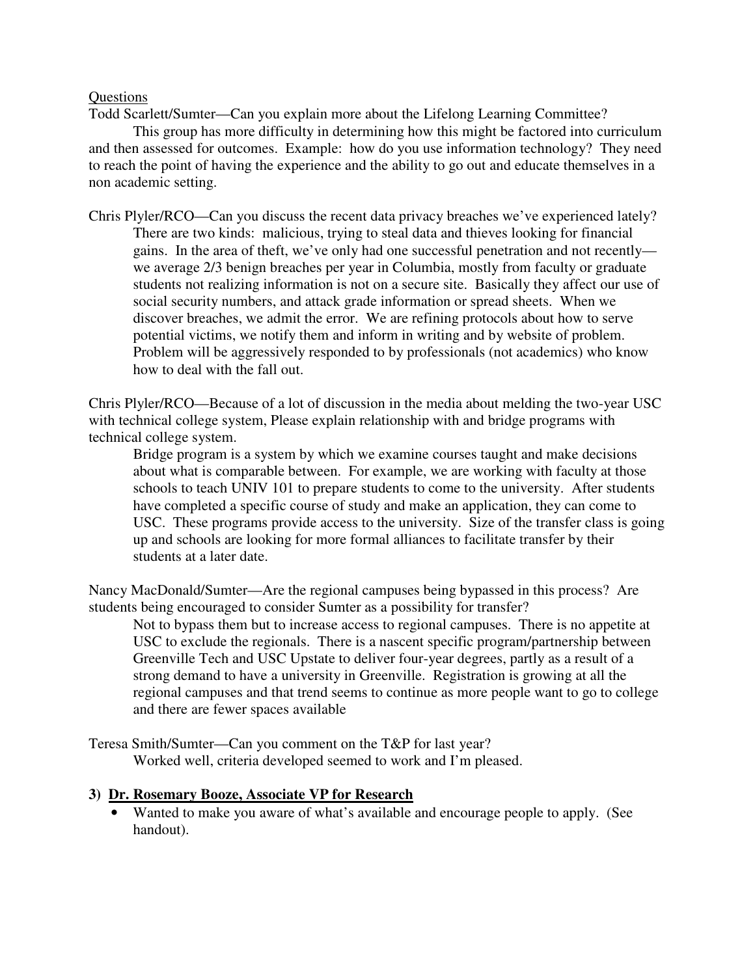### **Ouestions**

Todd Scarlett/Sumter—Can you explain more about the Lifelong Learning Committee?

 This group has more difficulty in determining how this might be factored into curriculum and then assessed for outcomes. Example: how do you use information technology? They need to reach the point of having the experience and the ability to go out and educate themselves in a non academic setting.

Chris Plyler/RCO—Can you discuss the recent data privacy breaches we've experienced lately? There are two kinds: malicious, trying to steal data and thieves looking for financial gains. In the area of theft, we've only had one successful penetration and not recently we average 2/3 benign breaches per year in Columbia, mostly from faculty or graduate students not realizing information is not on a secure site. Basically they affect our use of social security numbers, and attack grade information or spread sheets. When we discover breaches, we admit the error. We are refining protocols about how to serve potential victims, we notify them and inform in writing and by website of problem. Problem will be aggressively responded to by professionals (not academics) who know how to deal with the fall out.

Chris Plyler/RCO—Because of a lot of discussion in the media about melding the two-year USC with technical college system, Please explain relationship with and bridge programs with technical college system.

Bridge program is a system by which we examine courses taught and make decisions about what is comparable between. For example, we are working with faculty at those schools to teach UNIV 101 to prepare students to come to the university. After students have completed a specific course of study and make an application, they can come to USC. These programs provide access to the university. Size of the transfer class is going up and schools are looking for more formal alliances to facilitate transfer by their students at a later date.

Nancy MacDonald/Sumter—Are the regional campuses being bypassed in this process? Are students being encouraged to consider Sumter as a possibility for transfer?

Not to bypass them but to increase access to regional campuses. There is no appetite at USC to exclude the regionals. There is a nascent specific program/partnership between Greenville Tech and USC Upstate to deliver four-year degrees, partly as a result of a strong demand to have a university in Greenville. Registration is growing at all the regional campuses and that trend seems to continue as more people want to go to college and there are fewer spaces available

Teresa Smith/Sumter—Can you comment on the T&P for last year? Worked well, criteria developed seemed to work and I'm pleased.

# **3) Dr. Rosemary Booze, Associate VP for Research**

• Wanted to make you aware of what's available and encourage people to apply. (See handout).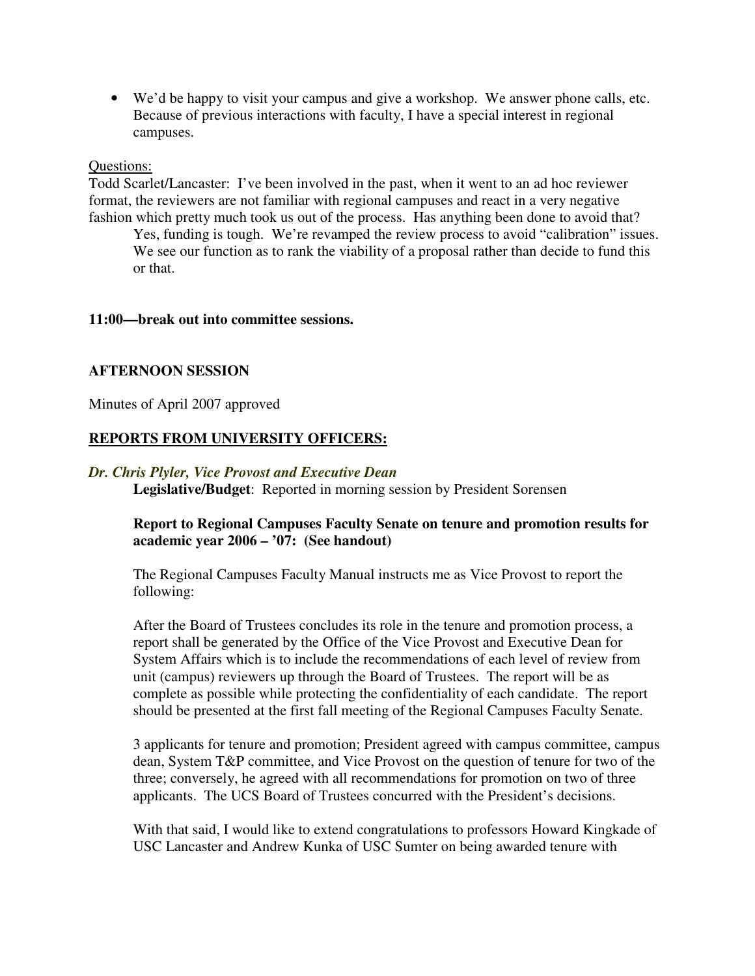• We'd be happy to visit your campus and give a workshop. We answer phone calls, etc. Because of previous interactions with faculty, I have a special interest in regional campuses.

#### Questions:

Todd Scarlet/Lancaster: I've been involved in the past, when it went to an ad hoc reviewer format, the reviewers are not familiar with regional campuses and react in a very negative fashion which pretty much took us out of the process. Has anything been done to avoid that?

Yes, funding is tough. We're revamped the review process to avoid "calibration" issues. We see our function as to rank the viability of a proposal rather than decide to fund this or that.

### **11:00—break out into committee sessions.**

# **AFTERNOON SESSION**

Minutes of April 2007 approved

# **REPORTS FROM UNIVERSITY OFFICERS:**

### *Dr. Chris Plyler, Vice Provost and Executive Dean*

**Legislative/Budget**: Reported in morning session by President Sorensen

# **Report to Regional Campuses Faculty Senate on tenure and promotion results for academic year 2006 – '07: (See handout)**

The Regional Campuses Faculty Manual instructs me as Vice Provost to report the following:

After the Board of Trustees concludes its role in the tenure and promotion process, a report shall be generated by the Office of the Vice Provost and Executive Dean for System Affairs which is to include the recommendations of each level of review from unit (campus) reviewers up through the Board of Trustees. The report will be as complete as possible while protecting the confidentiality of each candidate. The report should be presented at the first fall meeting of the Regional Campuses Faculty Senate.

3 applicants for tenure and promotion; President agreed with campus committee, campus dean, System T&P committee, and Vice Provost on the question of tenure for two of the three; conversely, he agreed with all recommendations for promotion on two of three applicants. The UCS Board of Trustees concurred with the President's decisions.

With that said, I would like to extend congratulations to professors Howard Kingkade of USC Lancaster and Andrew Kunka of USC Sumter on being awarded tenure with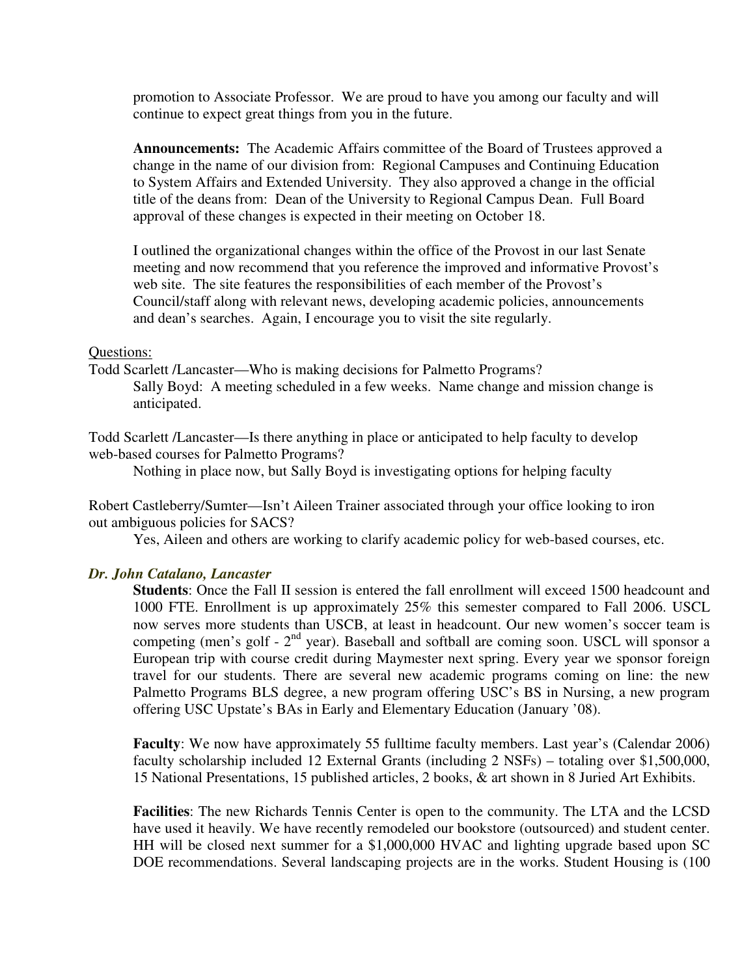promotion to Associate Professor. We are proud to have you among our faculty and will continue to expect great things from you in the future.

**Announcements:** The Academic Affairs committee of the Board of Trustees approved a change in the name of our division from: Regional Campuses and Continuing Education to System Affairs and Extended University. They also approved a change in the official title of the deans from: Dean of the University to Regional Campus Dean. Full Board approval of these changes is expected in their meeting on October 18.

I outlined the organizational changes within the office of the Provost in our last Senate meeting and now recommend that you reference the improved and informative Provost's web site. The site features the responsibilities of each member of the Provost's Council/staff along with relevant news, developing academic policies, announcements and dean's searches. Again, I encourage you to visit the site regularly.

#### Questions:

Todd Scarlett /Lancaster—Who is making decisions for Palmetto Programs? Sally Boyd: A meeting scheduled in a few weeks. Name change and mission change is anticipated.

Todd Scarlett /Lancaster—Is there anything in place or anticipated to help faculty to develop web-based courses for Palmetto Programs?

Nothing in place now, but Sally Boyd is investigating options for helping faculty

Robert Castleberry/Sumter—Isn't Aileen Trainer associated through your office looking to iron out ambiguous policies for SACS?

Yes, Aileen and others are working to clarify academic policy for web-based courses, etc.

# *Dr. John Catalano, Lancaster*

**Students**: Once the Fall II session is entered the fall enrollment will exceed 1500 headcount and 1000 FTE. Enrollment is up approximately 25% this semester compared to Fall 2006. USCL now serves more students than USCB, at least in headcount. Our new women's soccer team is competing (men's golf - 2<sup>nd</sup> year). Baseball and softball are coming soon. USCL will sponsor a European trip with course credit during Maymester next spring. Every year we sponsor foreign travel for our students. There are several new academic programs coming on line: the new Palmetto Programs BLS degree, a new program offering USC's BS in Nursing, a new program offering USC Upstate's BAs in Early and Elementary Education (January '08).

**Faculty**: We now have approximately 55 fulltime faculty members. Last year's (Calendar 2006) faculty scholarship included 12 External Grants (including 2 NSFs) – totaling over \$1,500,000, 15 National Presentations, 15 published articles, 2 books, & art shown in 8 Juried Art Exhibits.

**Facilities**: The new Richards Tennis Center is open to the community. The LTA and the LCSD have used it heavily. We have recently remodeled our bookstore (outsourced) and student center. HH will be closed next summer for a \$1,000,000 HVAC and lighting upgrade based upon SC DOE recommendations. Several landscaping projects are in the works. Student Housing is (100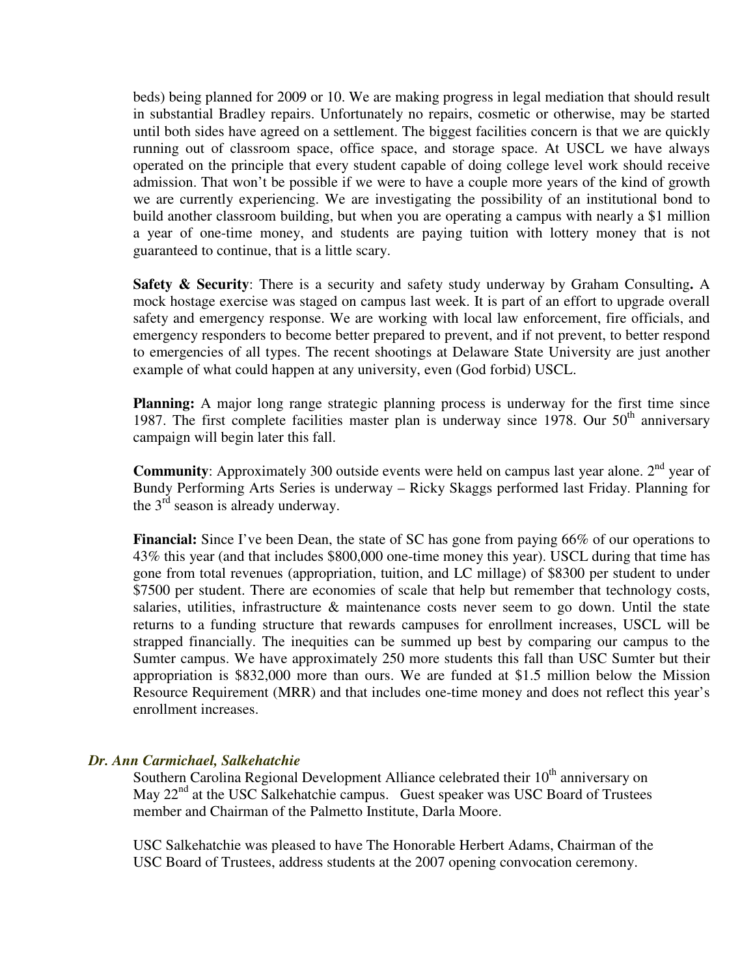beds) being planned for 2009 or 10. We are making progress in legal mediation that should result in substantial Bradley repairs. Unfortunately no repairs, cosmetic or otherwise, may be started until both sides have agreed on a settlement. The biggest facilities concern is that we are quickly running out of classroom space, office space, and storage space. At USCL we have always operated on the principle that every student capable of doing college level work should receive admission. That won't be possible if we were to have a couple more years of the kind of growth we are currently experiencing. We are investigating the possibility of an institutional bond to build another classroom building, but when you are operating a campus with nearly a \$1 million a year of one-time money, and students are paying tuition with lottery money that is not guaranteed to continue, that is a little scary.

**Safety & Security**: There is a security and safety study underway by Graham Consulting**.** A mock hostage exercise was staged on campus last week. It is part of an effort to upgrade overall safety and emergency response. We are working with local law enforcement, fire officials, and emergency responders to become better prepared to prevent, and if not prevent, to better respond to emergencies of all types. The recent shootings at Delaware State University are just another example of what could happen at any university, even (God forbid) USCL.

**Planning:** A major long range strategic planning process is underway for the first time since 1987. The first complete facilities master plan is underway since 1978. Our  $50<sup>th</sup>$  anniversary campaign will begin later this fall.

**Community**: Approximately 300 outside events were held on campus last year alone. 2<sup>nd</sup> year of Bundy Performing Arts Series is underway – Ricky Skaggs performed last Friday. Planning for the  $3<sup>rd</sup>$  season is already underway.

**Financial:** Since I've been Dean, the state of SC has gone from paying 66% of our operations to 43% this year (and that includes \$800,000 one-time money this year). USCL during that time has gone from total revenues (appropriation, tuition, and LC millage) of \$8300 per student to under \$7500 per student. There are economies of scale that help but remember that technology costs, salaries, utilities, infrastructure & maintenance costs never seem to go down. Until the state returns to a funding structure that rewards campuses for enrollment increases, USCL will be strapped financially. The inequities can be summed up best by comparing our campus to the Sumter campus. We have approximately 250 more students this fall than USC Sumter but their appropriation is \$832,000 more than ours. We are funded at \$1.5 million below the Mission Resource Requirement (MRR) and that includes one-time money and does not reflect this year's enrollment increases.

# *Dr. Ann Carmichael, Salkehatchie*

Southern Carolina Regional Development Alliance celebrated their 10<sup>th</sup> anniversary on May 22<sup>nd</sup> at the USC Salkehatchie campus. Guest speaker was USC Board of Trustees member and Chairman of the Palmetto Institute, Darla Moore.

USC Salkehatchie was pleased to have The Honorable Herbert Adams, Chairman of the USC Board of Trustees, address students at the 2007 opening convocation ceremony.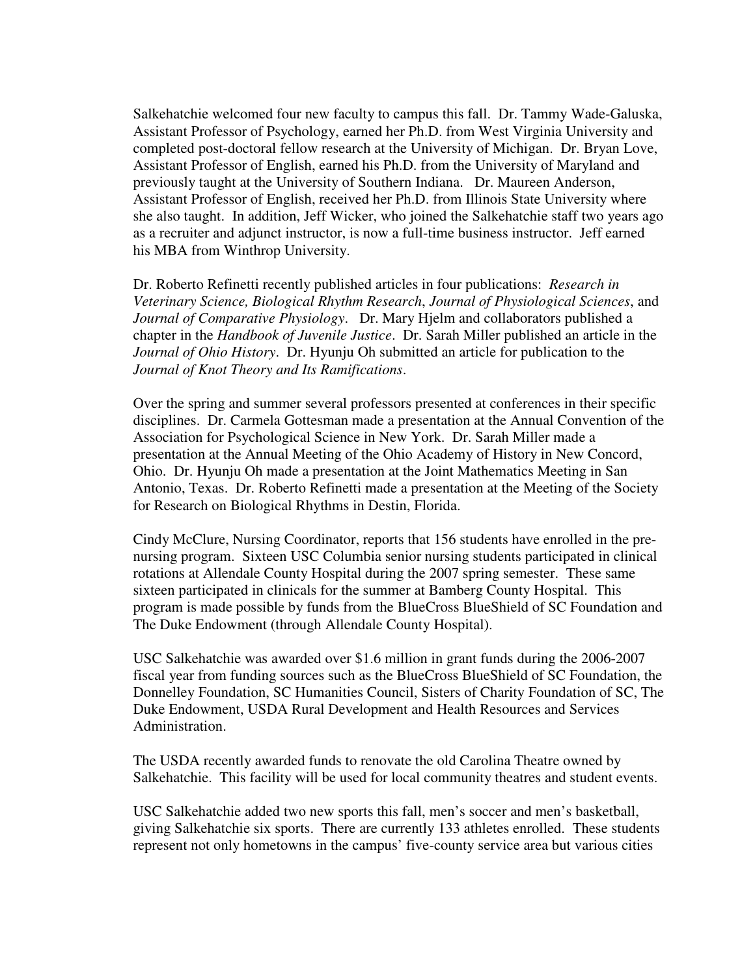Salkehatchie welcomed four new faculty to campus this fall. Dr. Tammy Wade-Galuska, Assistant Professor of Psychology, earned her Ph.D. from West Virginia University and completed post-doctoral fellow research at the University of Michigan. Dr. Bryan Love, Assistant Professor of English, earned his Ph.D. from the University of Maryland and previously taught at the University of Southern Indiana. Dr. Maureen Anderson, Assistant Professor of English, received her Ph.D. from Illinois State University where she also taught. In addition, Jeff Wicker, who joined the Salkehatchie staff two years ago as a recruiter and adjunct instructor, is now a full-time business instructor. Jeff earned his MBA from Winthrop University.

Dr. Roberto Refinetti recently published articles in four publications: *Research in Veterinary Science, Biological Rhythm Research*, *Journal of Physiological Sciences*, and *Journal of Comparative Physiology*. Dr. Mary Hjelm and collaborators published a chapter in the *Handbook of Juvenile Justice*. Dr. Sarah Miller published an article in the *Journal of Ohio History*. Dr. Hyunju Oh submitted an article for publication to the *Journal of Knot Theory and Its Ramifications*.

Over the spring and summer several professors presented at conferences in their specific disciplines. Dr. Carmela Gottesman made a presentation at the Annual Convention of the Association for Psychological Science in New York. Dr. Sarah Miller made a presentation at the Annual Meeting of the Ohio Academy of History in New Concord, Ohio. Dr. Hyunju Oh made a presentation at the Joint Mathematics Meeting in San Antonio, Texas. Dr. Roberto Refinetti made a presentation at the Meeting of the Society for Research on Biological Rhythms in Destin, Florida.

Cindy McClure, Nursing Coordinator, reports that 156 students have enrolled in the prenursing program. Sixteen USC Columbia senior nursing students participated in clinical rotations at Allendale County Hospital during the 2007 spring semester. These same sixteen participated in clinicals for the summer at Bamberg County Hospital. This program is made possible by funds from the BlueCross BlueShield of SC Foundation and The Duke Endowment (through Allendale County Hospital).

USC Salkehatchie was awarded over \$1.6 million in grant funds during the 2006-2007 fiscal year from funding sources such as the BlueCross BlueShield of SC Foundation, the Donnelley Foundation, SC Humanities Council, Sisters of Charity Foundation of SC, The Duke Endowment, USDA Rural Development and Health Resources and Services Administration.

The USDA recently awarded funds to renovate the old Carolina Theatre owned by Salkehatchie. This facility will be used for local community theatres and student events.

USC Salkehatchie added two new sports this fall, men's soccer and men's basketball, giving Salkehatchie six sports. There are currently 133 athletes enrolled. These students represent not only hometowns in the campus' five-county service area but various cities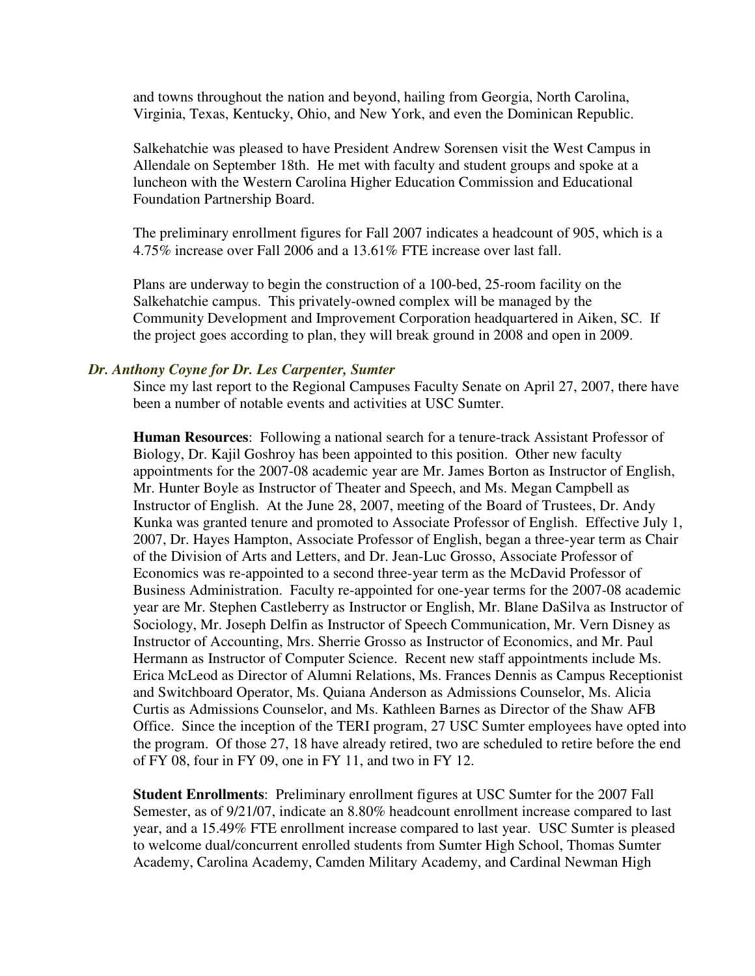and towns throughout the nation and beyond, hailing from Georgia, North Carolina, Virginia, Texas, Kentucky, Ohio, and New York, and even the Dominican Republic.

Salkehatchie was pleased to have President Andrew Sorensen visit the West Campus in Allendale on September 18th. He met with faculty and student groups and spoke at a luncheon with the Western Carolina Higher Education Commission and Educational Foundation Partnership Board.

The preliminary enrollment figures for Fall 2007 indicates a headcount of 905, which is a 4.75% increase over Fall 2006 and a 13.61% FTE increase over last fall.

Plans are underway to begin the construction of a 100-bed, 25-room facility on the Salkehatchie campus. This privately-owned complex will be managed by the Community Development and Improvement Corporation headquartered in Aiken, SC. If the project goes according to plan, they will break ground in 2008 and open in 2009.

### *Dr. Anthony Coyne for Dr. Les Carpenter, Sumter*

Since my last report to the Regional Campuses Faculty Senate on April 27, 2007, there have been a number of notable events and activities at USC Sumter.

**Human Resources**: Following a national search for a tenure-track Assistant Professor of Biology, Dr. Kajil Goshroy has been appointed to this position. Other new faculty appointments for the 2007-08 academic year are Mr. James Borton as Instructor of English, Mr. Hunter Boyle as Instructor of Theater and Speech, and Ms. Megan Campbell as Instructor of English. At the June 28, 2007, meeting of the Board of Trustees, Dr. Andy Kunka was granted tenure and promoted to Associate Professor of English. Effective July 1, 2007, Dr. Hayes Hampton, Associate Professor of English, began a three-year term as Chair of the Division of Arts and Letters, and Dr. Jean-Luc Grosso, Associate Professor of Economics was re-appointed to a second three-year term as the McDavid Professor of Business Administration. Faculty re-appointed for one-year terms for the 2007-08 academic year are Mr. Stephen Castleberry as Instructor or English, Mr. Blane DaSilva as Instructor of Sociology, Mr. Joseph Delfin as Instructor of Speech Communication, Mr. Vern Disney as Instructor of Accounting, Mrs. Sherrie Grosso as Instructor of Economics, and Mr. Paul Hermann as Instructor of Computer Science. Recent new staff appointments include Ms. Erica McLeod as Director of Alumni Relations, Ms. Frances Dennis as Campus Receptionist and Switchboard Operator, Ms. Quiana Anderson as Admissions Counselor, Ms. Alicia Curtis as Admissions Counselor, and Ms. Kathleen Barnes as Director of the Shaw AFB Office. Since the inception of the TERI program, 27 USC Sumter employees have opted into the program. Of those 27, 18 have already retired, two are scheduled to retire before the end of FY 08, four in FY 09, one in FY 11, and two in FY 12.

**Student Enrollments**: Preliminary enrollment figures at USC Sumter for the 2007 Fall Semester, as of 9/21/07, indicate an 8.80% headcount enrollment increase compared to last year, and a 15.49% FTE enrollment increase compared to last year. USC Sumter is pleased to welcome dual/concurrent enrolled students from Sumter High School, Thomas Sumter Academy, Carolina Academy, Camden Military Academy, and Cardinal Newman High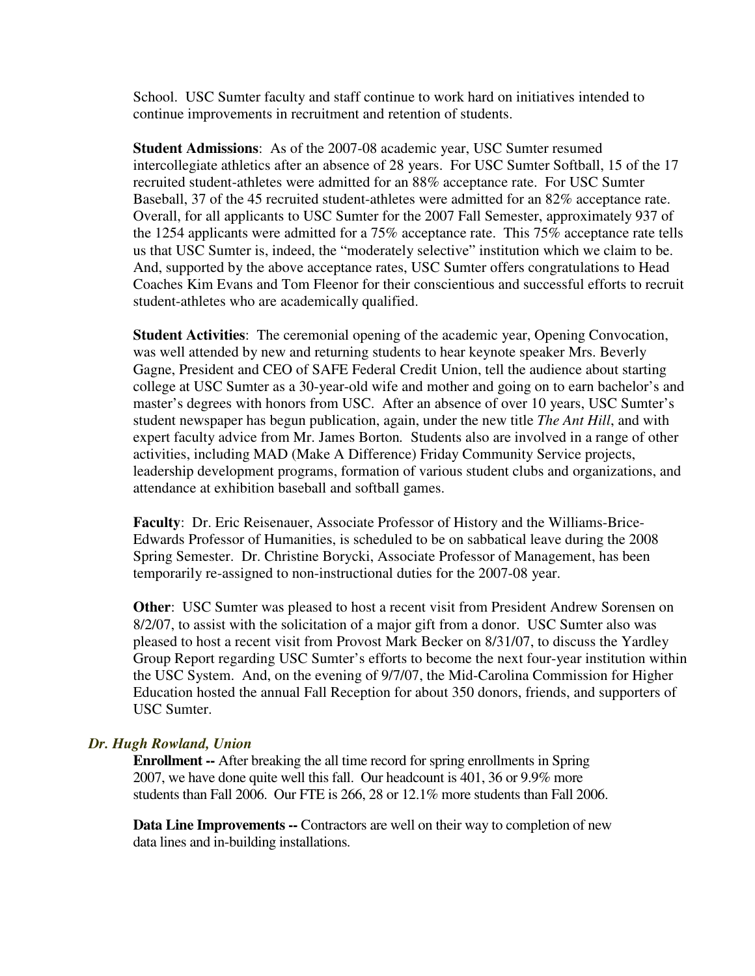School. USC Sumter faculty and staff continue to work hard on initiatives intended to continue improvements in recruitment and retention of students.

**Student Admissions**: As of the 2007-08 academic year, USC Sumter resumed intercollegiate athletics after an absence of 28 years. For USC Sumter Softball, 15 of the 17 recruited student-athletes were admitted for an 88% acceptance rate. For USC Sumter Baseball, 37 of the 45 recruited student-athletes were admitted for an 82% acceptance rate. Overall, for all applicants to USC Sumter for the 2007 Fall Semester, approximately 937 of the 1254 applicants were admitted for a 75% acceptance rate. This 75% acceptance rate tells us that USC Sumter is, indeed, the "moderately selective" institution which we claim to be. And, supported by the above acceptance rates, USC Sumter offers congratulations to Head Coaches Kim Evans and Tom Fleenor for their conscientious and successful efforts to recruit student-athletes who are academically qualified.

**Student Activities**: The ceremonial opening of the academic year, Opening Convocation, was well attended by new and returning students to hear keynote speaker Mrs. Beverly Gagne, President and CEO of SAFE Federal Credit Union, tell the audience about starting college at USC Sumter as a 30-year-old wife and mother and going on to earn bachelor's and master's degrees with honors from USC. After an absence of over 10 years, USC Sumter's student newspaper has begun publication, again, under the new title *The Ant Hill*, and with expert faculty advice from Mr. James Borton*.* Students also are involved in a range of other activities, including MAD (Make A Difference) Friday Community Service projects, leadership development programs, formation of various student clubs and organizations, and attendance at exhibition baseball and softball games.

**Faculty**: Dr. Eric Reisenauer, Associate Professor of History and the Williams-Brice-Edwards Professor of Humanities, is scheduled to be on sabbatical leave during the 2008 Spring Semester. Dr. Christine Borycki, Associate Professor of Management, has been temporarily re-assigned to non-instructional duties for the 2007-08 year.

**Other**: USC Sumter was pleased to host a recent visit from President Andrew Sorensen on 8/2/07, to assist with the solicitation of a major gift from a donor. USC Sumter also was pleased to host a recent visit from Provost Mark Becker on 8/31/07, to discuss the Yardley Group Report regarding USC Sumter's efforts to become the next four-year institution within the USC System. And, on the evening of 9/7/07, the Mid-Carolina Commission for Higher Education hosted the annual Fall Reception for about 350 donors, friends, and supporters of USC Sumter.

#### *Dr. Hugh Rowland, Union*

**Enrollment --** After breaking the all time record for spring enrollments in Spring 2007, we have done quite well this fall. Our headcount is 401, 36 or 9.9% more students than Fall 2006. Our FTE is 266, 28 or 12.1% more students than Fall 2006.

**Data Line Improvements --** Contractors are well on their way to completion of new data lines and in-building installations.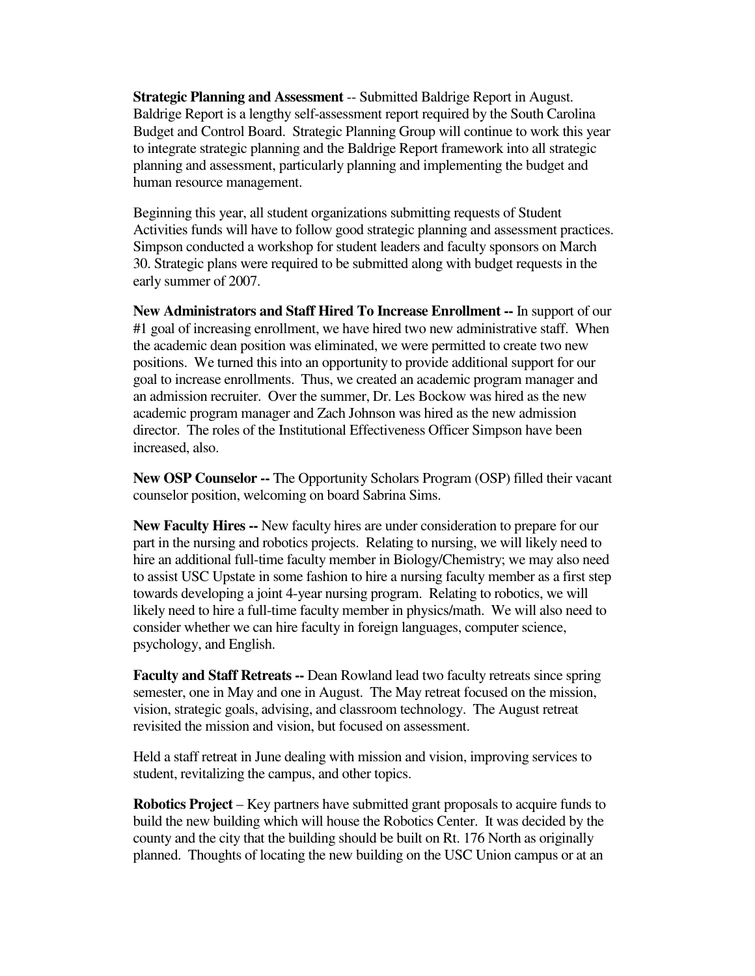**Strategic Planning and Assessment** -- Submitted Baldrige Report in August. Baldrige Report is a lengthy self-assessment report required by the South Carolina Budget and Control Board. Strategic Planning Group will continue to work this year to integrate strategic planning and the Baldrige Report framework into all strategic planning and assessment, particularly planning and implementing the budget and human resource management.

Beginning this year, all student organizations submitting requests of Student Activities funds will have to follow good strategic planning and assessment practices. Simpson conducted a workshop for student leaders and faculty sponsors on March 30. Strategic plans were required to be submitted along with budget requests in the early summer of 2007.

**New Administrators and Staff Hired To Increase Enrollment --** In support of our #1 goal of increasing enrollment, we have hired two new administrative staff. When the academic dean position was eliminated, we were permitted to create two new positions. We turned this into an opportunity to provide additional support for our goal to increase enrollments. Thus, we created an academic program manager and an admission recruiter. Over the summer, Dr. Les Bockow was hired as the new academic program manager and Zach Johnson was hired as the new admission director. The roles of the Institutional Effectiveness Officer Simpson have been increased, also.

**New OSP Counselor --** The Opportunity Scholars Program (OSP) filled their vacant counselor position, welcoming on board Sabrina Sims.

**New Faculty Hires --** New faculty hires are under consideration to prepare for our part in the nursing and robotics projects. Relating to nursing, we will likely need to hire an additional full-time faculty member in Biology/Chemistry; we may also need to assist USC Upstate in some fashion to hire a nursing faculty member as a first step towards developing a joint 4-year nursing program. Relating to robotics, we will likely need to hire a full-time faculty member in physics/math. We will also need to consider whether we can hire faculty in foreign languages, computer science, psychology, and English.

**Faculty and Staff Retreats --** Dean Rowland lead two faculty retreats since spring semester, one in May and one in August. The May retreat focused on the mission, vision, strategic goals, advising, and classroom technology. The August retreat revisited the mission and vision, but focused on assessment.

Held a staff retreat in June dealing with mission and vision, improving services to student, revitalizing the campus, and other topics.

**Robotics Project** – Key partners have submitted grant proposals to acquire funds to build the new building which will house the Robotics Center. It was decided by the county and the city that the building should be built on Rt. 176 North as originally planned. Thoughts of locating the new building on the USC Union campus or at an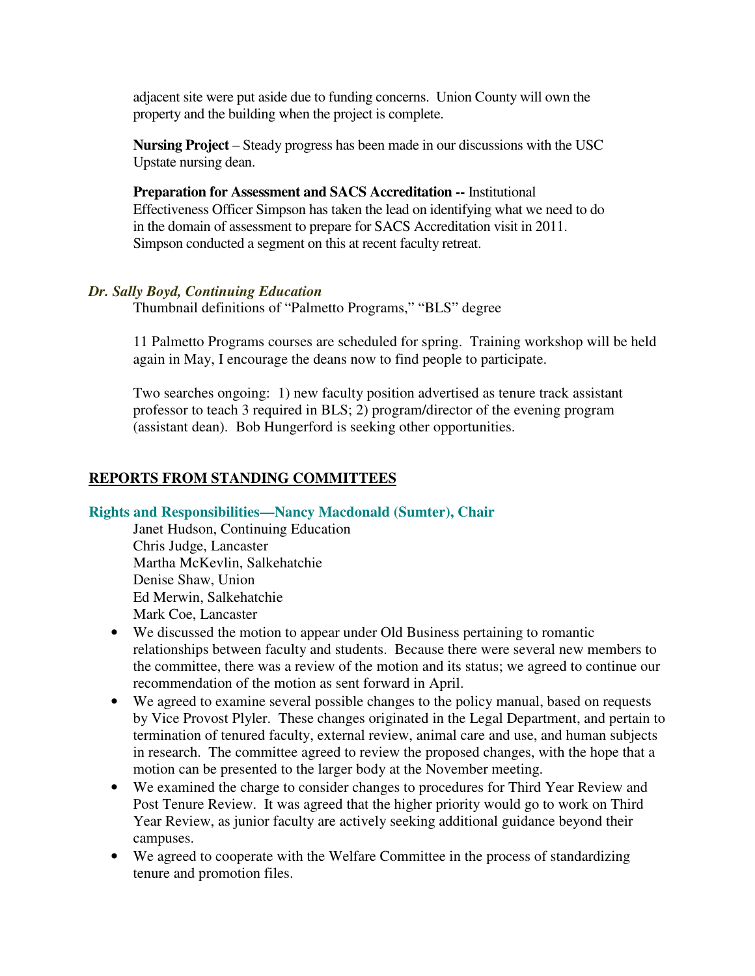adjacent site were put aside due to funding concerns. Union County will own the property and the building when the project is complete.

**Nursing Project** – Steady progress has been made in our discussions with the USC Upstate nursing dean.

**Preparation for Assessment and SACS Accreditation --** Institutional Effectiveness Officer Simpson has taken the lead on identifying what we need to do in the domain of assessment to prepare for SACS Accreditation visit in 2011. Simpson conducted a segment on this at recent faculty retreat.

# *Dr. Sally Boyd, Continuing Education*

Thumbnail definitions of "Palmetto Programs," "BLS" degree

11 Palmetto Programs courses are scheduled for spring. Training workshop will be held again in May, I encourage the deans now to find people to participate.

Two searches ongoing: 1) new faculty position advertised as tenure track assistant professor to teach 3 required in BLS; 2) program/director of the evening program (assistant dean). Bob Hungerford is seeking other opportunities.

# **REPORTS FROM STANDING COMMITTEES**

# **Rights and Responsibilities—Nancy Macdonald (Sumter), Chair**

 Janet Hudson, Continuing Education Chris Judge, Lancaster Martha McKevlin, Salkehatchie Denise Shaw, Union Ed Merwin, Salkehatchie Mark Coe, Lancaster

- We discussed the motion to appear under Old Business pertaining to romantic relationships between faculty and students. Because there were several new members to the committee, there was a review of the motion and its status; we agreed to continue our recommendation of the motion as sent forward in April.
- We agreed to examine several possible changes to the policy manual, based on requests by Vice Provost Plyler. These changes originated in the Legal Department, and pertain to termination of tenured faculty, external review, animal care and use, and human subjects in research. The committee agreed to review the proposed changes, with the hope that a motion can be presented to the larger body at the November meeting.
- We examined the charge to consider changes to procedures for Third Year Review and Post Tenure Review. It was agreed that the higher priority would go to work on Third Year Review, as junior faculty are actively seeking additional guidance beyond their campuses.
- We agreed to cooperate with the Welfare Committee in the process of standardizing tenure and promotion files.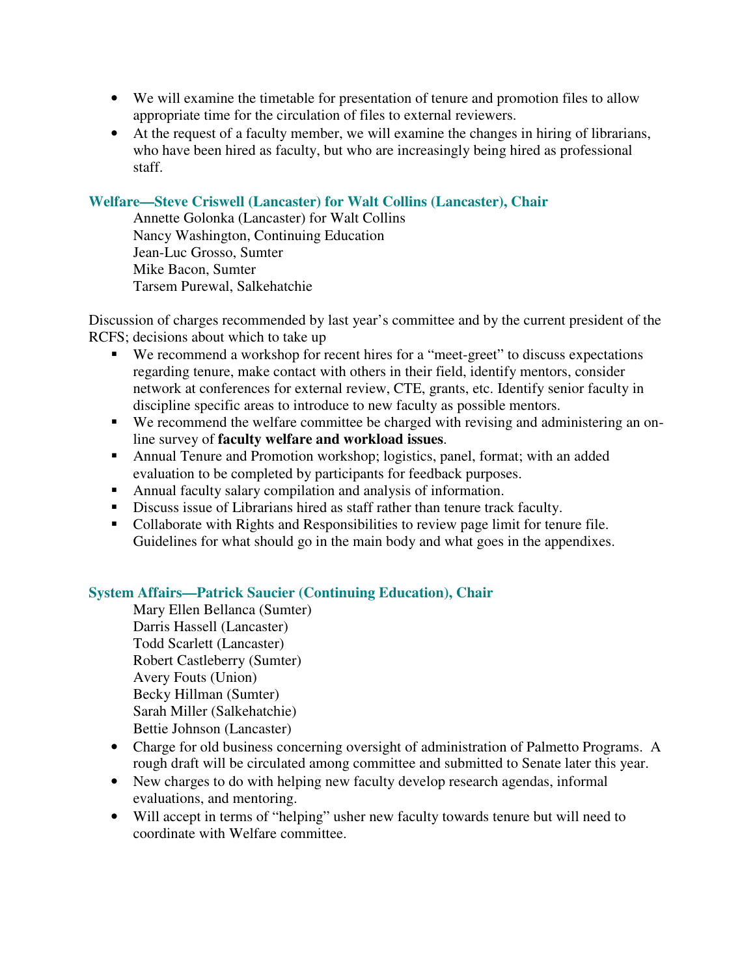- We will examine the timetable for presentation of tenure and promotion files to allow appropriate time for the circulation of files to external reviewers.
- At the request of a faculty member, we will examine the changes in hiring of librarians, who have been hired as faculty, but who are increasingly being hired as professional staff.

# **Welfare—Steve Criswell (Lancaster) for Walt Collins (Lancaster), Chair**

Annette Golonka (Lancaster) for Walt Collins Nancy Washington, Continuing Education Jean-Luc Grosso, Sumter Mike Bacon, Sumter Tarsem Purewal, Salkehatchie

Discussion of charges recommended by last year's committee and by the current president of the RCFS; decisions about which to take up

- We recommend a workshop for recent hires for a "meet-greet" to discuss expectations regarding tenure, make contact with others in their field, identify mentors, consider network at conferences for external review, CTE, grants, etc. Identify senior faculty in discipline specific areas to introduce to new faculty as possible mentors.
- We recommend the welfare committee be charged with revising and administering an online survey of **faculty welfare and workload issues**.
- Annual Tenure and Promotion workshop; logistics, panel, format; with an added evaluation to be completed by participants for feedback purposes.
- Annual faculty salary compilation and analysis of information.
- Discuss issue of Librarians hired as staff rather than tenure track faculty.
- Collaborate with Rights and Responsibilities to review page limit for tenure file. Guidelines for what should go in the main body and what goes in the appendixes.

# **System Affairs—Patrick Saucier (Continuing Education), Chair**

 Mary Ellen Bellanca (Sumter) Darris Hassell (Lancaster) Todd Scarlett (Lancaster) Robert Castleberry (Sumter) Avery Fouts (Union) Becky Hillman (Sumter) Sarah Miller (Salkehatchie) Bettie Johnson (Lancaster)

- Charge for old business concerning oversight of administration of Palmetto Programs. A rough draft will be circulated among committee and submitted to Senate later this year.
- New charges to do with helping new faculty develop research agendas, informal evaluations, and mentoring.
- Will accept in terms of "helping" usher new faculty towards tenure but will need to coordinate with Welfare committee.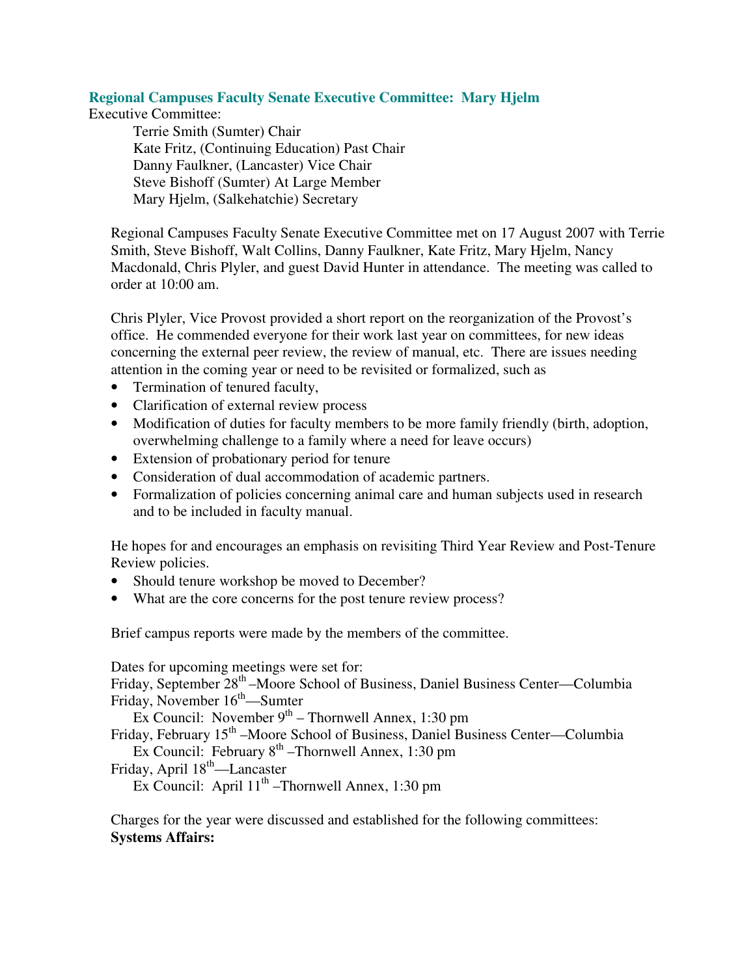# **Regional Campuses Faculty Senate Executive Committee: Mary Hjelm**

Executive Committee:

Terrie Smith (Sumter) Chair Kate Fritz, (Continuing Education) Past Chair Danny Faulkner, (Lancaster) Vice Chair Steve Bishoff (Sumter) At Large Member Mary Hjelm, (Salkehatchie) Secretary

Regional Campuses Faculty Senate Executive Committee met on 17 August 2007 with Terrie Smith, Steve Bishoff, Walt Collins, Danny Faulkner, Kate Fritz, Mary Hjelm, Nancy Macdonald, Chris Plyler, and guest David Hunter in attendance. The meeting was called to order at 10:00 am.

Chris Plyler, Vice Provost provided a short report on the reorganization of the Provost's office. He commended everyone for their work last year on committees, for new ideas concerning the external peer review, the review of manual, etc. There are issues needing attention in the coming year or need to be revisited or formalized, such as

- Termination of tenured faculty,
- Clarification of external review process
- Modification of duties for faculty members to be more family friendly (birth, adoption, overwhelming challenge to a family where a need for leave occurs)
- Extension of probationary period for tenure
- Consideration of dual accommodation of academic partners.
- Formalization of policies concerning animal care and human subjects used in research and to be included in faculty manual.

He hopes for and encourages an emphasis on revisiting Third Year Review and Post-Tenure Review policies.

- Should tenure workshop be moved to December?
- What are the core concerns for the post tenure review process?

Brief campus reports were made by the members of the committee.

Dates for upcoming meetings were set for:

Friday, September 28<sup>th</sup> –Moore School of Business, Daniel Business Center—Columbia Friday, November 16<sup>th</sup>—Sumter

Ex Council: November  $9^{th}$  – Thornwell Annex, 1:30 pm

Friday, February 15<sup>th</sup> –Moore School of Business, Daniel Business Center—Columbia Ex Council: February  $8<sup>th</sup>$  –Thornwell Annex, 1:30 pm

Friday, April 18<sup>th</sup>—Lancaster

Ex Council: April  $11^{th}$  –Thornwell Annex, 1:30 pm

Charges for the year were discussed and established for the following committees: **Systems Affairs:**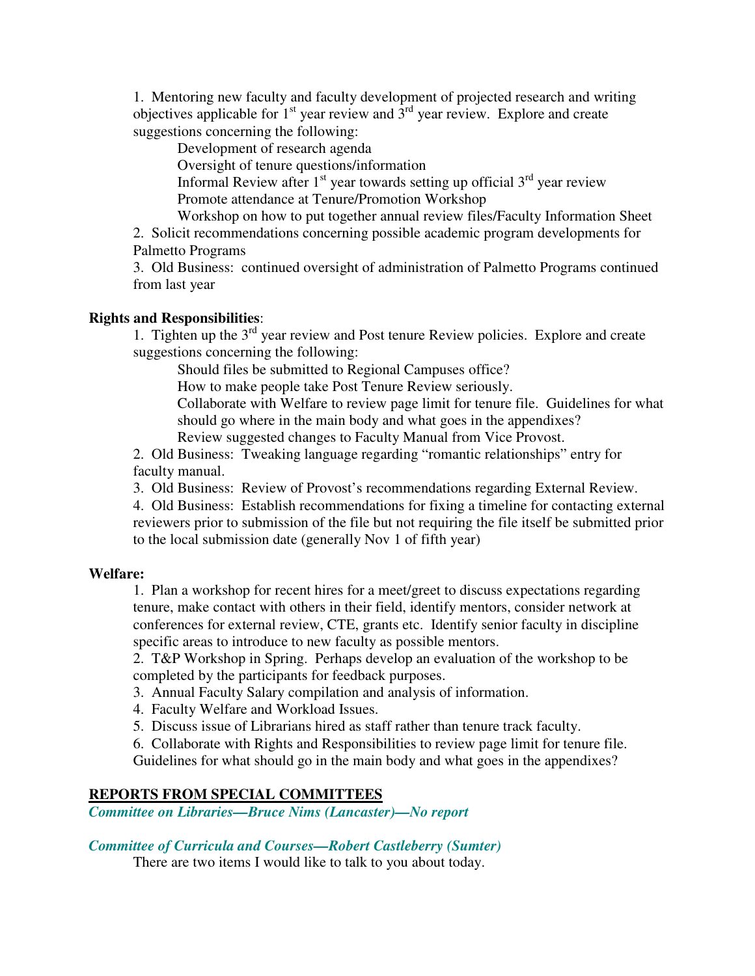1. Mentoring new faculty and faculty development of projected research and writing objectives applicable for  $1<sup>st</sup>$  year review and  $3<sup>rd</sup>$  year review. Explore and create suggestions concerning the following:

Development of research agenda

Oversight of tenure questions/information

Informal Review after  $1<sup>st</sup>$  year towards setting up official  $3<sup>rd</sup>$  year review Promote attendance at Tenure/Promotion Workshop

Workshop on how to put together annual review files/Faculty Information Sheet

2. Solicit recommendations concerning possible academic program developments for Palmetto Programs

3. Old Business: continued oversight of administration of Palmetto Programs continued from last year

# **Rights and Responsibilities**:

1. Tighten up the  $3<sup>rd</sup>$  year review and Post tenure Review policies. Explore and create suggestions concerning the following:

Should files be submitted to Regional Campuses office?

How to make people take Post Tenure Review seriously.

Collaborate with Welfare to review page limit for tenure file. Guidelines for what should go where in the main body and what goes in the appendixes? Review suggested changes to Faculty Manual from Vice Provost.

2. Old Business: Tweaking language regarding "romantic relationships" entry for faculty manual.

3. Old Business: Review of Provost's recommendations regarding External Review.

4. Old Business: Establish recommendations for fixing a timeline for contacting external reviewers prior to submission of the file but not requiring the file itself be submitted prior to the local submission date (generally Nov 1 of fifth year)

# **Welfare:**

1. Plan a workshop for recent hires for a meet/greet to discuss expectations regarding tenure, make contact with others in their field, identify mentors, consider network at conferences for external review, CTE, grants etc. Identify senior faculty in discipline specific areas to introduce to new faculty as possible mentors.

2. T&P Workshop in Spring. Perhaps develop an evaluation of the workshop to be completed by the participants for feedback purposes.

3. Annual Faculty Salary compilation and analysis of information.

4. Faculty Welfare and Workload Issues.

5. Discuss issue of Librarians hired as staff rather than tenure track faculty.

6. Collaborate with Rights and Responsibilities to review page limit for tenure file. Guidelines for what should go in the main body and what goes in the appendixes?

# **REPORTS FROM SPECIAL COMMITTEES**

*Committee on Libraries—Bruce Nims (Lancaster)—No report* 

# *Committee of Curricula and Courses—Robert Castleberry (Sumter)*

There are two items I would like to talk to you about today.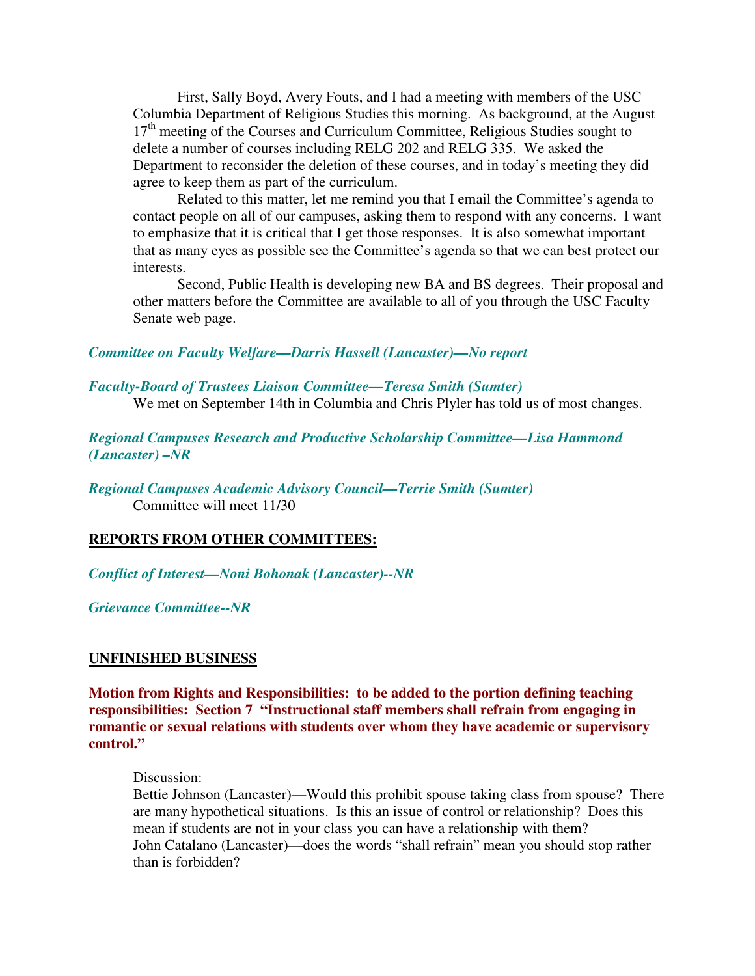First, Sally Boyd, Avery Fouts, and I had a meeting with members of the USC Columbia Department of Religious Studies this morning. As background, at the August 17<sup>th</sup> meeting of the Courses and Curriculum Committee, Religious Studies sought to delete a number of courses including RELG 202 and RELG 335. We asked the Department to reconsider the deletion of these courses, and in today's meeting they did agree to keep them as part of the curriculum.

 Related to this matter, let me remind you that I email the Committee's agenda to contact people on all of our campuses, asking them to respond with any concerns. I want to emphasize that it is critical that I get those responses. It is also somewhat important that as many eyes as possible see the Committee's agenda so that we can best protect our interests.

 Second, Public Health is developing new BA and BS degrees. Their proposal and other matters before the Committee are available to all of you through the USC Faculty Senate web page.

# *Committee on Faculty Welfare—Darris Hassell (Lancaster)—No report*

#### *Faculty-Board of Trustees Liaison Committee—Teresa Smith (Sumter)*

We met on September 14th in Columbia and Chris Plyler has told us of most changes.

*Regional Campuses Research and Productive Scholarship Committee—Lisa Hammond (Lancaster) –NR* 

*Regional Campuses Academic Advisory Council—Terrie Smith (Sumter)*  Committee will meet 11/30

#### **REPORTS FROM OTHER COMMITTEES:**

*Conflict of Interest—Noni Bohonak (Lancaster)--NR* 

*Grievance Committee--NR* 

#### **UNFINISHED BUSINESS**

**Motion from Rights and Responsibilities: to be added to the portion defining teaching responsibilities: Section 7 "Instructional staff members shall refrain from engaging in romantic or sexual relations with students over whom they have academic or supervisory control."** 

Discussion:

Bettie Johnson (Lancaster)—Would this prohibit spouse taking class from spouse? There are many hypothetical situations. Is this an issue of control or relationship? Does this mean if students are not in your class you can have a relationship with them? John Catalano (Lancaster)—does the words "shall refrain" mean you should stop rather than is forbidden?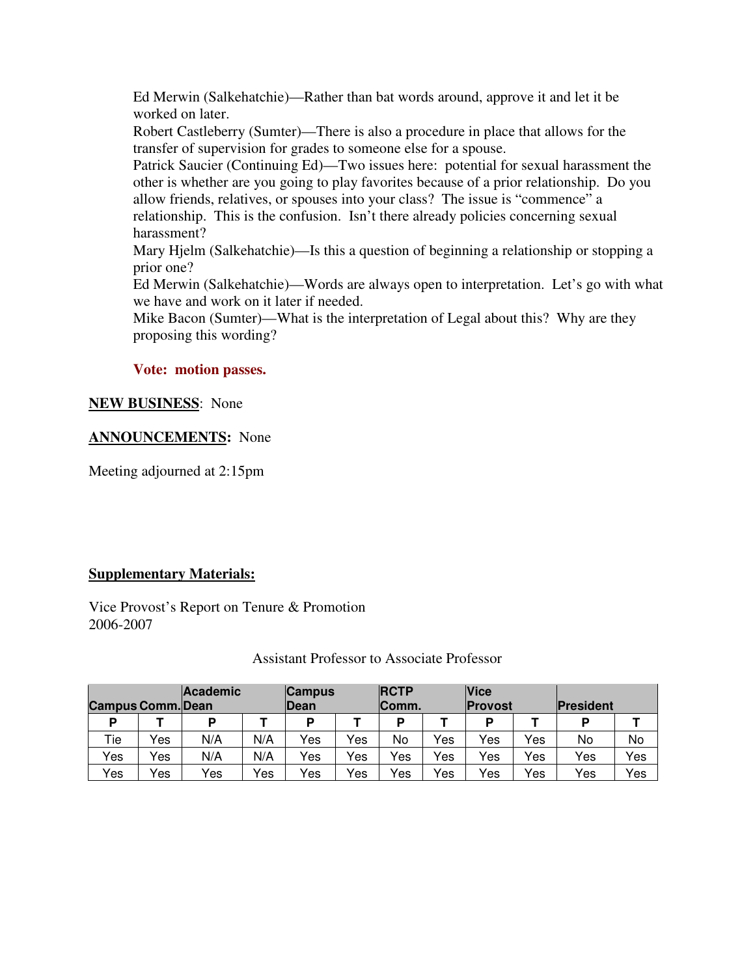Ed Merwin (Salkehatchie)—Rather than bat words around, approve it and let it be worked on later.

Robert Castleberry (Sumter)—There is also a procedure in place that allows for the transfer of supervision for grades to someone else for a spouse.

Patrick Saucier (Continuing Ed)—Two issues here: potential for sexual harassment the other is whether are you going to play favorites because of a prior relationship. Do you allow friends, relatives, or spouses into your class? The issue is "commence" a relationship. This is the confusion. Isn't there already policies concerning sexual harassment?

Mary Hjelm (Salkehatchie)—Is this a question of beginning a relationship or stopping a prior one?

Ed Merwin (Salkehatchie)—Words are always open to interpretation. Let's go with what we have and work on it later if needed.

Mike Bacon (Sumter)—What is the interpretation of Legal about this? Why are they proposing this wording?

# **Vote: motion passes.**

# **NEW BUSINESS**: None

# **ANNOUNCEMENTS:** None

Meeting adjourned at 2:15pm

# **Supplementary Materials:**

Vice Provost's Report on Tenure & Promotion 2006-2007

#### Assistant Professor to Associate Professor

| <b>Campus Comm.</b> Dean |     | <b>Academic</b> |     | <b>Campus</b><br><b>IDean</b> |     | <b>IRCTP</b><br>Comm. |     | <b>Vice</b><br><b>Provost</b> |     | President |     |
|--------------------------|-----|-----------------|-----|-------------------------------|-----|-----------------------|-----|-------------------------------|-----|-----------|-----|
| D                        |     | D               |     | D                             |     | D                     |     | D                             |     | D         |     |
| Tie                      | Yes | N/A             | N/A | Yes                           | Yes | No                    | Yes | Yes                           | Yes | No        | No  |
| Yes                      | Yes | N/A             | N/A | Yes                           | Yes | Yes                   | Yes | Yes                           | Yes | Yes       | Yes |
| Yes                      | Yes | Yes             | Yes | Yes                           | Yes | Yes                   | Yes | Yes                           | Yes | Yes       | Yes |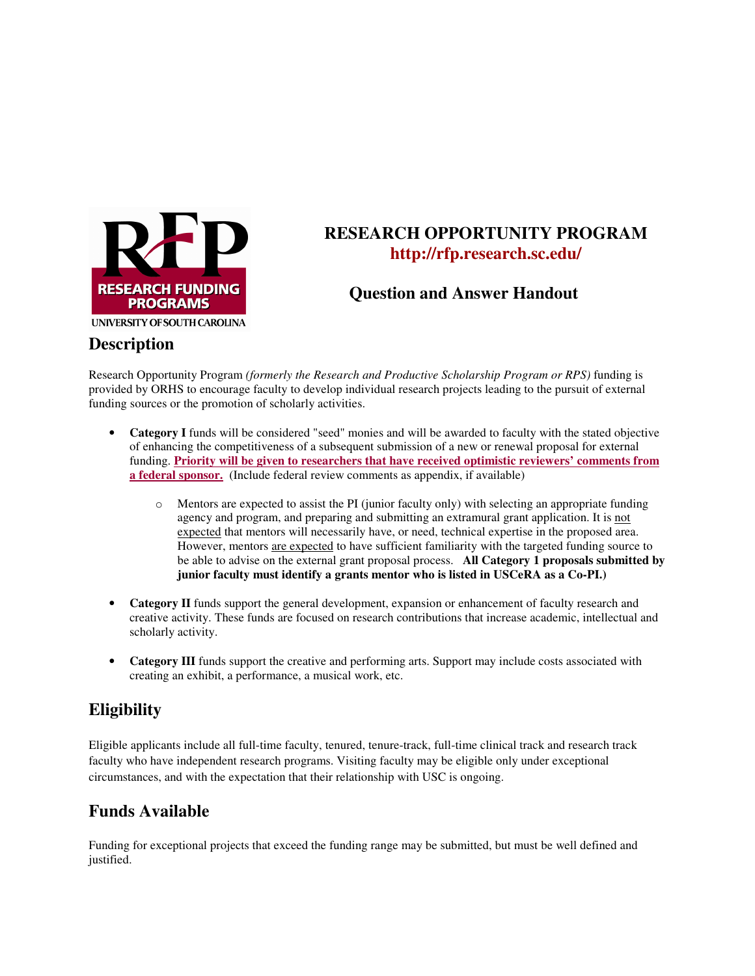

# **RESEARCH OPPORTUNITY PROGRAM http://rfp.research.sc.edu/**

**Question and Answer Handout** 

# **Description**

Research Opportunity Program *(formerly the Research and Productive Scholarship Program or RPS)* funding is provided by ORHS to encourage faculty to develop individual research projects leading to the pursuit of external funding sources or the promotion of scholarly activities.

- **Category I** funds will be considered "seed" monies and will be awarded to faculty with the stated objective of enhancing the competitiveness of a subsequent submission of a new or renewal proposal for external funding. **Priority will be given to researchers that have received optimistic reviewers' comments from a federal sponsor.** (Include federal review comments as appendix, if available)
	- o Mentors are expected to assist the PI (junior faculty only) with selecting an appropriate funding agency and program, and preparing and submitting an extramural grant application. It is not expected that mentors will necessarily have, or need, technical expertise in the proposed area. However, mentors are expected to have sufficient familiarity with the targeted funding source to be able to advise on the external grant proposal process. **All Category 1 proposals submitted by junior faculty must identify a grants mentor who is listed in USCeRA as a Co-PI.)**
- **Category II** funds support the general development, expansion or enhancement of faculty research and creative activity. These funds are focused on research contributions that increase academic, intellectual and scholarly activity.
- **Category III** funds support the creative and performing arts. Support may include costs associated with creating an exhibit, a performance, a musical work, etc.

# **Eligibility**

Eligible applicants include all full-time faculty, tenured, tenure-track, full-time clinical track and research track faculty who have independent research programs. Visiting faculty may be eligible only under exceptional circumstances, and with the expectation that their relationship with USC is ongoing.

# **Funds Available**

Funding for exceptional projects that exceed the funding range may be submitted, but must be well defined and justified.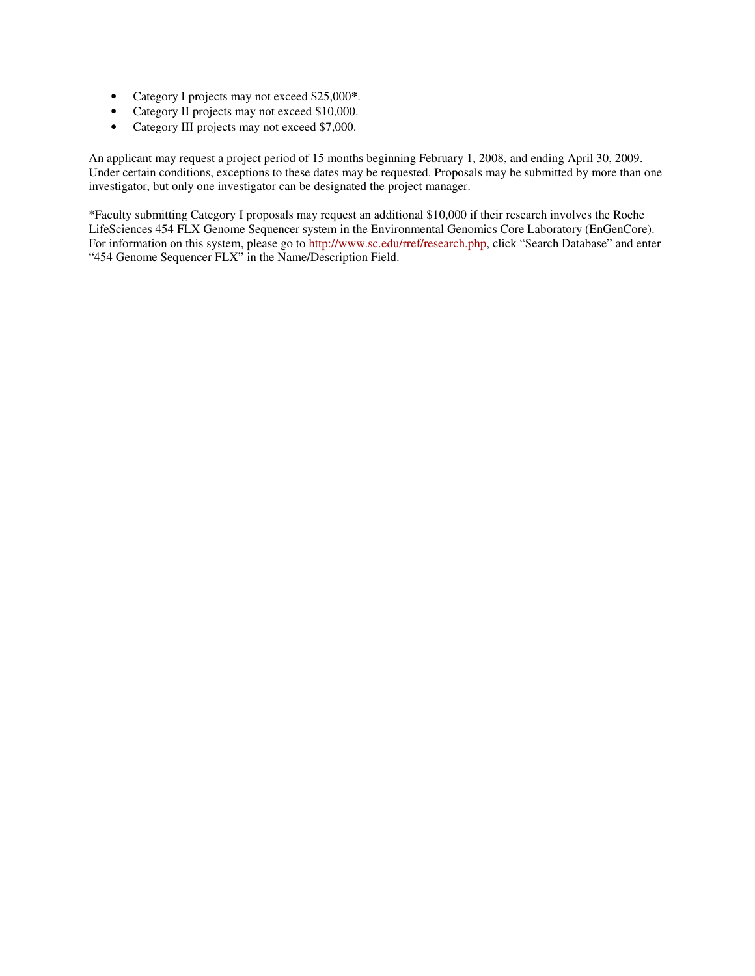- Category I projects may not exceed \$25,000**\***.
- Category II projects may not exceed \$10,000.
- Category III projects may not exceed \$7,000.

An applicant may request a project period of 15 months beginning February 1, 2008, and ending April 30, 2009. Under certain conditions, exceptions to these dates may be requested. Proposals may be submitted by more than one investigator, but only one investigator can be designated the project manager.

\*Faculty submitting Category I proposals may request an additional \$10,000 if their research involves the Roche LifeSciences 454 FLX Genome Sequencer system in the Environmental Genomics Core Laboratory (EnGenCore). For information on this system, please go to http://www.sc.edu/rref/research.php, click "Search Database" and enter "454 Genome Sequencer FLX" in the Name/Description Field.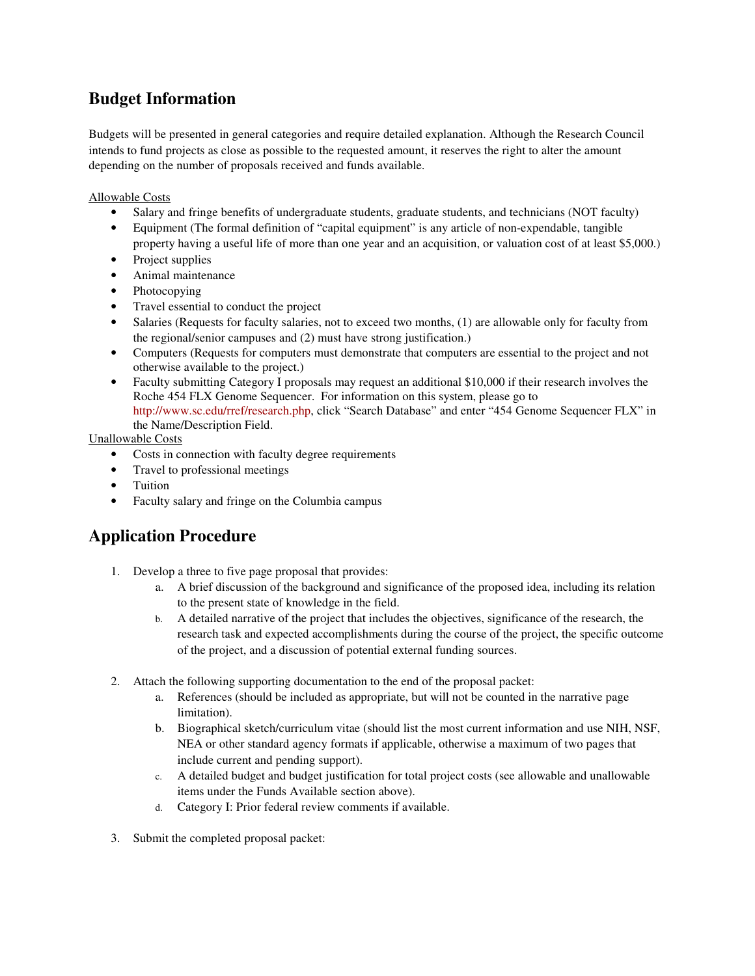# **Budget Information**

Budgets will be presented in general categories and require detailed explanation. Although the Research Council intends to fund projects as close as possible to the requested amount, it reserves the right to alter the amount depending on the number of proposals received and funds available.

Allowable Costs

- Salary and fringe benefits of undergraduate students, graduate students, and technicians (NOT faculty)
- Equipment (The formal definition of "capital equipment" is any article of non-expendable, tangible
- property having a useful life of more than one year and an acquisition, or valuation cost of at least \$5,000.) • Project supplies
- Animal maintenance
- Photocopying
- Travel essential to conduct the project
- Salaries (Requests for faculty salaries, not to exceed two months, (1) are allowable only for faculty from the regional/senior campuses and (2) must have strong justification.)
- Computers (Requests for computers must demonstrate that computers are essential to the project and not otherwise available to the project.)
- Faculty submitting Category I proposals may request an additional \$10,000 if their research involves the Roche 454 FLX Genome Sequencer. For information on this system, please go to http://www.sc.edu/rref/research.php, click "Search Database" and enter "454 Genome Sequencer FLX" in the Name/Description Field.

Unallowable Costs

- Costs in connection with faculty degree requirements
- Travel to professional meetings
- Tuition
- Faculty salary and fringe on the Columbia campus

# **Application Procedure**

- 1. Develop a three to five page proposal that provides:
	- a. A brief discussion of the background and significance of the proposed idea, including its relation to the present state of knowledge in the field.
	- b. A detailed narrative of the project that includes the objectives, significance of the research, the research task and expected accomplishments during the course of the project, the specific outcome of the project, and a discussion of potential external funding sources.
- 2. Attach the following supporting documentation to the end of the proposal packet:
	- a. References (should be included as appropriate, but will not be counted in the narrative page limitation).
	- b. Biographical sketch/curriculum vitae (should list the most current information and use NIH, NSF, NEA or other standard agency formats if applicable, otherwise a maximum of two pages that include current and pending support).
	- c. A detailed budget and budget justification for total project costs (see allowable and unallowable items under the Funds Available section above).
	- d. Category I: Prior federal review comments if available.
- 3. Submit the completed proposal packet: